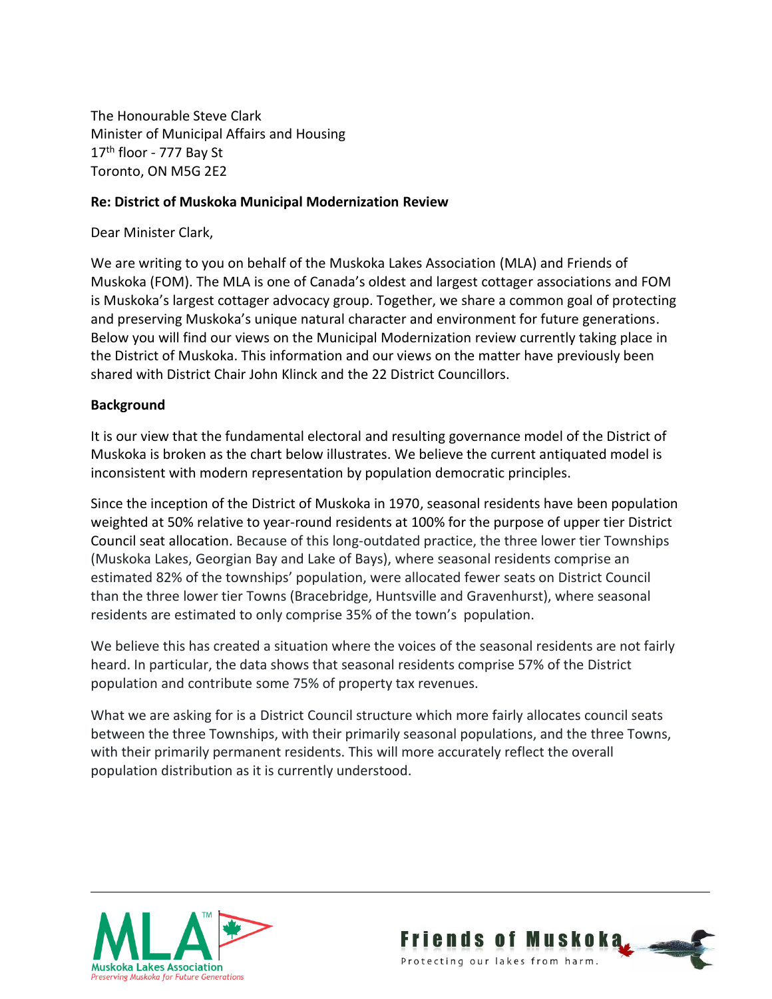The Honourable Steve Clark Minister of Municipal Affairs and Housing 17<sup>th</sup> floor - 777 Bay St Toronto, ON M5G 2E2

### **Re: District of Muskoka Municipal Modernization Review**

Dear Minister Clark,

We are writing to you on behalf of the Muskoka Lakes Association (MLA) and Friends of Muskoka (FOM). The MLA is one of Canada's oldest and largest cottager associations and FOM is Muskoka's largest cottager advocacy group. Together, we share a common goal of protecting and preserving Muskoka's unique natural character and environment for future generations. Below you will find our views on the Municipal Modernization review currently taking place in the District of Muskoka. This information and our views on the matter have previously been shared with District Chair John Klinck and the 22 District Councillors.

### **Background**

It is our view that the fundamental electoral and resulting governance model of the District of Muskoka is broken as the chart below illustrates. We believe the current antiquated model is inconsistent with modern representation by population democratic principles.

Since the inception of the District of Muskoka in 1970, seasonal residents have been population weighted at 50% relative to year-round residents at 100% for the purpose of upper tier District Council seat allocation. Because of this long-outdated practice, the three lower tier Townships (Muskoka Lakes, Georgian Bay and Lake of Bays), where seasonal residents comprise an estimated 82% of the townships' population, were allocated fewer seats on District Council than the three lower tier Towns (Bracebridge, Huntsville and Gravenhurst), where seasonal residents are estimated to only comprise 35% of the town's population.

We believe this has created a situation where the voices of the seasonal residents are not fairly heard. In particular, the data shows that seasonal residents comprise 57% of the District population and contribute some 75% of property tax revenues.

What we are asking for is a District Council structure which more fairly allocates council seats between the three Townships, with their primarily seasonal populations, and the three Towns, with their primarily permanent residents. This will more accurately reflect the overall population distribution as it is currently understood.



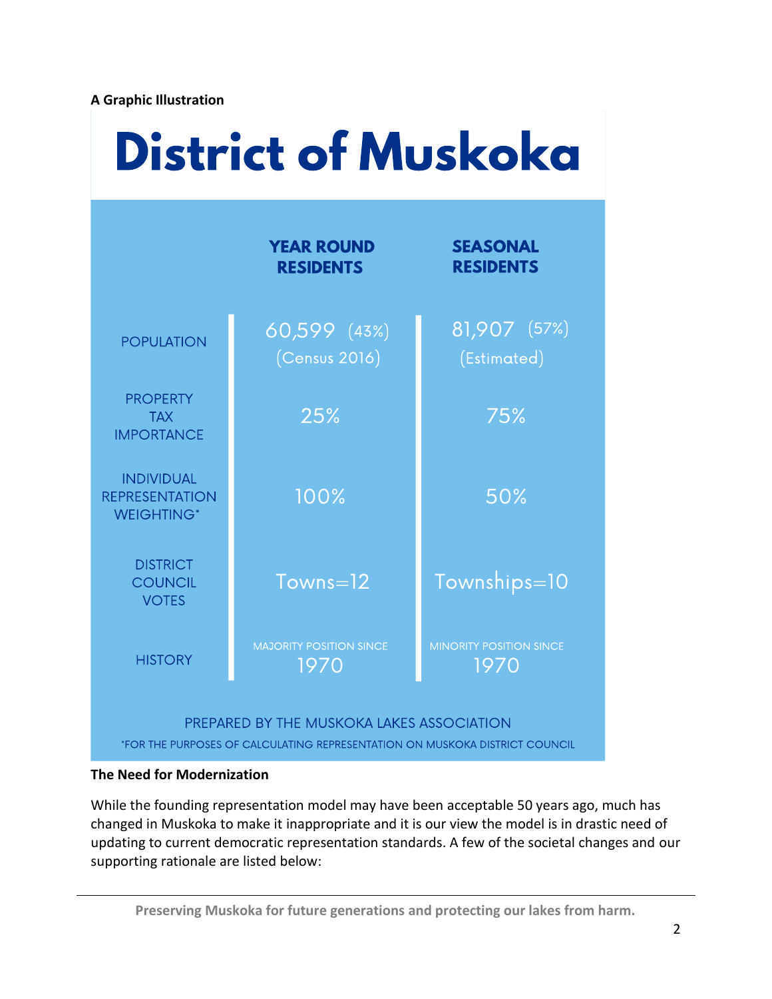## **A Graphic Illustration**

# **District of Muskoka**

|                                                                                                                          | <b>YEAR ROUND</b><br><b>RESIDENTS</b>  | <b>SEASONAL</b><br><b>RESIDENTS</b>    |
|--------------------------------------------------------------------------------------------------------------------------|----------------------------------------|----------------------------------------|
| <b>POPULATION</b>                                                                                                        | 60,599 (43%)<br>(Census 2016)          | 81,907 (57%)<br>(Estimated)            |
| <b>PROPERTY</b><br><b>TAX</b><br><b>IMPORTANCE</b>                                                                       | 25%                                    | 75%                                    |
| <b>INDIVIDUAL</b><br><b>REPRESENTATION</b><br><b>WEIGHTING*</b>                                                          | 100%                                   | 50%                                    |
| <b>DISTRICT</b><br><b>COUNCIL</b><br><b>VOTES</b>                                                                        | $Towns=12$                             | Townships=10                           |
| <b>HISTORY</b>                                                                                                           | <b>MAJORITY POSITION SINCE</b><br>1970 | <b>MINORITY POSITION SINCE</b><br>1970 |
| PREPARED BY THE MUSKOKA LAKES ASSOCIATION<br>*FOR THE PURPOSES OF CALCULATING REPRESENTATION ON MUSKOKA DISTRICT COUNCIL |                                        |                                        |

# **The Need for Modernization**

While the founding representation model may have been acceptable 50 years ago, much has changed in Muskoka to make it inappropriate and it is our view the model is in drastic need of updating to current democratic representation standards. A few of the societal changes and our supporting rationale are listed below: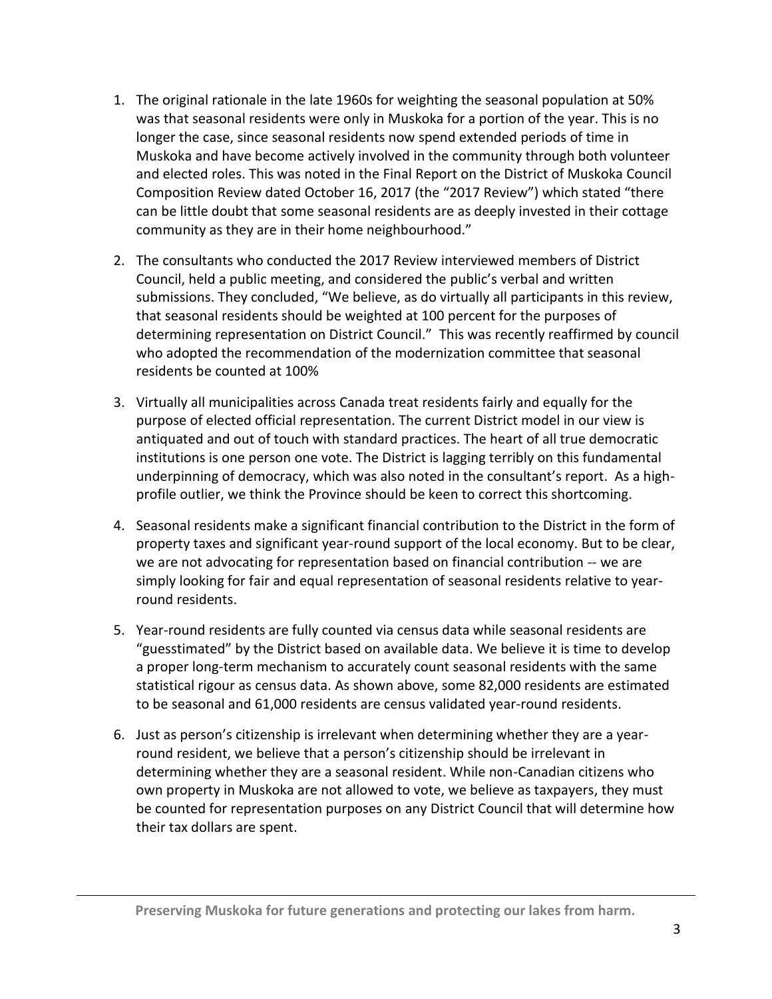- 1. The original rationale in the late 1960s for weighting the seasonal population at 50% was that seasonal residents were only in Muskoka for a portion of the year. This is no longer the case, since seasonal residents now spend extended periods of time in Muskoka and have become actively involved in the community through both volunteer and elected roles. This was noted in the Final Report on the District of Muskoka Council Composition Review dated October 16, 2017 (the "2017 Review") which stated "there can be little doubt that some seasonal residents are as deeply invested in their cottage community as they are in their home neighbourhood."
- 2. The consultants who conducted the 2017 Review interviewed members of District Council, held a public meeting, and considered the public's verbal and written submissions. They concluded, "We believe, as do virtually all participants in this review, that seasonal residents should be weighted at 100 percent for the purposes of determining representation on District Council." This was recently reaffirmed by council who adopted the recommendation of the modernization committee that seasonal residents be counted at 100%
- 3. Virtually all municipalities across Canada treat residents fairly and equally for the purpose of elected official representation. The current District model in our view is antiquated and out of touch with standard practices. The heart of all true democratic institutions is one person one vote. The District is lagging terribly on this fundamental underpinning of democracy, which was also noted in the consultant's report. As a highprofile outlier, we think the Province should be keen to correct this shortcoming.
- 4. Seasonal residents make a significant financial contribution to the District in the form of property taxes and significant year-round support of the local economy. But to be clear, we are not advocating for representation based on financial contribution -- we are simply looking for fair and equal representation of seasonal residents relative to yearround residents.
- 5. Year-round residents are fully counted via census data while seasonal residents are "guesstimated" by the District based on available data. We believe it is time to develop a proper long-term mechanism to accurately count seasonal residents with the same statistical rigour as census data. As shown above, some 82,000 residents are estimated to be seasonal and 61,000 residents are census validated year-round residents.
- 6. Just as person's citizenship is irrelevant when determining whether they are a yearround resident, we believe that a person's citizenship should be irrelevant in determining whether they are a seasonal resident. While non-Canadian citizens who own property in Muskoka are not allowed to vote, we believe as taxpayers, they must be counted for representation purposes on any District Council that will determine how their tax dollars are spent.